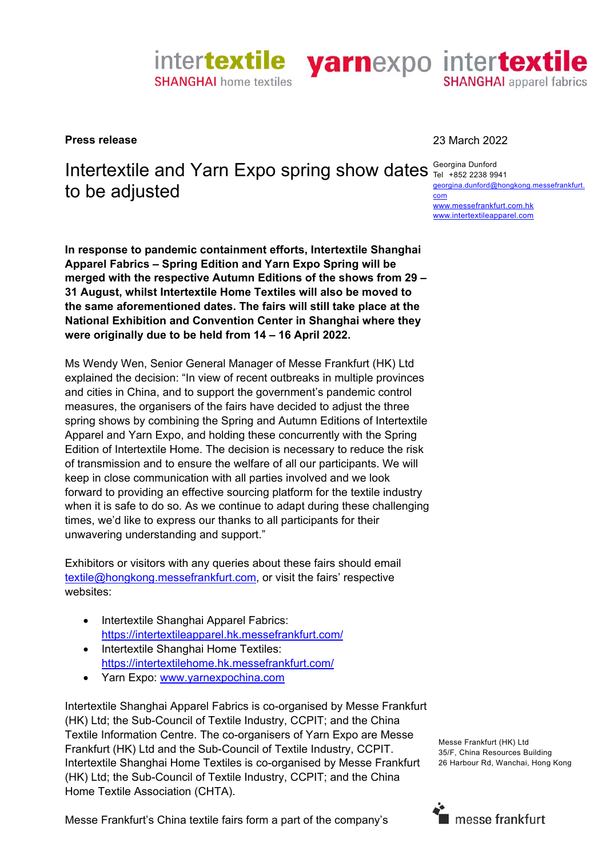

## Intertextile and Yarn Expo spring show dates **Georgina Dunford** to be adjusted com

**In response to pandemic containment efforts, Intertextile Shanghai Apparel Fabrics – Spring Edition and Yarn Expo Spring will be merged with the respective Autumn Editions of the shows from 29 – 31 August, whilst Intertextile Home Textiles will also be moved to the same aforementioned dates. The fairs will still take place at the National Exhibition and Convention Center in Shanghai where they were originally due to be held from 14 – 16 April 2022.** 

Ms Wendy Wen, Senior General Manager of Messe Frankfurt (HK) Ltd explained the decision: "In view of recent outbreaks in multiple provinces and cities in China, and to support the government's pandemic control measures, the organisers of the fairs have decided to adjust the three spring shows by combining the Spring and Autumn Editions of Intertextile Apparel and Yarn Expo, and holding these concurrently with the Spring Edition of Intertextile Home. The decision is necessary to reduce the risk of transmission and to ensure the welfare of all our participants. We will keep in close communication with all parties involved and we look forward to providing an effective sourcing platform for the textile industry when it is safe to do so. As we continue to adapt during these challenging times, we'd like to express our thanks to all participants for their unwavering understanding and support."

Exhibitors or visitors with any queries about these fairs should email textile@hongkong.messefrankfurt.com, or visit the fairs' respective websites:

- Intertextile Shanghai Apparel Fabrics: https://intertextileapparel.hk.messefrankfurt.com/
- Intertextile Shanghai Home Textiles: https://intertextilehome.hk.messefrankfurt.com/
- Yarn Expo: www.yarnexpochina.com

Intertextile Shanghai Apparel Fabrics is co-organised by Messe Frankfurt (HK) Ltd; the Sub-Council of Textile Industry, CCPIT; and the China Textile Information Centre. The co-organisers of Yarn Expo are Messe Frankfurt (HK) Ltd and the Sub-Council of Textile Industry, CCPIT. Intertextile Shanghai Home Textiles is co-organised by Messe Frankfurt (HK) Ltd; the Sub-Council of Textile Industry, CCPIT; and the China Home Textile Association (CHTA).

Messe Frankfurt's China textile fairs form a part of the company's

**Press release** 23 March 2022

Georgina Dunford georgina.dunford@hongkong.messefrankfurt. www.messefrankfurt.com.hk www.intertextileapparel.com

Messe Frankfurt (HK) Ltd 35/F, China Resources Building 26 Harbour Rd, Wanchai, Hong Kong